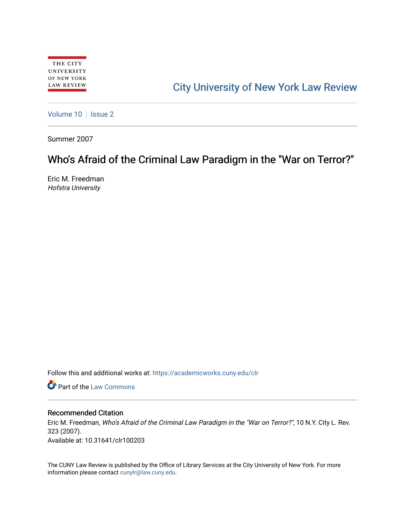# [City University of New York Law Review](https://academicworks.cuny.edu/clr)

[Volume 10](https://academicworks.cuny.edu/clr/vol10) | [Issue 2](https://academicworks.cuny.edu/clr/vol10/iss2)

Summer 2007

## Who's Afraid of the Criminal Law Paradigm in the "War on Terror?"

Eric M. Freedman Hofstra University

Follow this and additional works at: [https://academicworks.cuny.edu/clr](https://academicworks.cuny.edu/clr?utm_source=academicworks.cuny.edu%2Fclr%2Fvol10%2Fiss2%2F4&utm_medium=PDF&utm_campaign=PDFCoverPages) 

**C** Part of the [Law Commons](http://network.bepress.com/hgg/discipline/578?utm_source=academicworks.cuny.edu%2Fclr%2Fvol10%2Fiss2%2F4&utm_medium=PDF&utm_campaign=PDFCoverPages)

### Recommended Citation

Eric M. Freedman, Who's Afraid of the Criminal Law Paradigm in the "War on Terror?", 10 N.Y. City L. Rev. 323 (2007). Available at: 10.31641/clr100203

The CUNY Law Review is published by the Office of Library Services at the City University of New York. For more information please contact [cunylr@law.cuny.edu](mailto:cunylr@law.cuny.edu).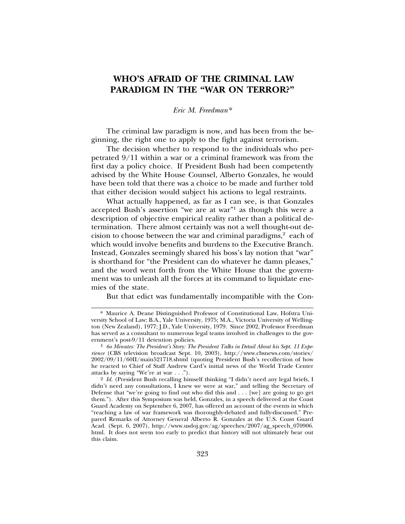### **WHO'S AFRAID OF THE CRIMINAL LAW PARADIGM IN THE "WAR ON TERROR?"**

### *Eric M. Freedman\**

The criminal law paradigm is now, and has been from the beginning, the right one to apply to the fight against terrorism.

The decision whether to respond to the individuals who perpetrated 9/11 within a war or a criminal framework was from the first day a policy choice. If President Bush had been competently advised by the White House Counsel, Alberto Gonzales, he would have been told that there was a choice to be made and further told that either decision would subject his actions to legal restraints.

What actually happened, as far as I can see, is that Gonzales accepted Bush's assertion "we are at war"<sup>1</sup> as though this were a description of objective empirical reality rather than a political determination. There almost certainly was not a well thought-out decision to choose between the war and criminal paradigms, $2$  each of which would involve benefits and burdens to the Executive Branch. Instead, Gonzales seemingly shared his boss's lay notion that "war" is shorthand for "the President can do whatever he damn pleases," and the word went forth from the White House that the government was to unleash all the forces at its command to liquidate enemies of the state.

But that edict was fundamentally incompatible with the Con-

<sup>\*</sup> Maurice A. Deane Distinguished Professor of Constitutional Law, Hofstra University School of Law; B.A., Yale University, 1975; M.A., Victoria University of Wellington (New Zealand), 1977; J.D., Yale University, 1979. Since 2002, Professor Freedman has served as a consultant to numerous legal teams involved in challenges to the gov-

ernment's post-9/11 detention policies. <sup>1</sup> *6o Minutes: The President's Story: The President Talks in Detail About his Sept. 11 Experience* (CBS television broadcast Sept. 10, 2003), http://www.cbsnews.com/stories/ 2002/09/11/60II/main521718.shtml (quoting President Bush's recollection of how he reacted to Chief of Staff Andrew Card's initial news of the World Trade Center attacks by saying "We're at war . . .").

<sup>2</sup> *Id.* (President Bush recalling himself thinking "I didn't need any legal briefs, I didn't need any consultations, I knew we were at war," and telling the Secretary of Defense that "we're going to find out who did this and . . . [we] are going to go get them."). After this Symposium was held, Gonzales, in a speech delivered at the Coast Guard Academy on September 6, 2007, has offered an account of the events in which "reaching a law of war framework was thoroughly-debated and fully-discussed." Prepared Remarks of Attorney General Alberto R. Gonzales at the U.S. Coast Guard Acad. (Sept. 6, 2007), http://www.usdoj.gov/ag/speeches/2007/ag\_speech\_070906. html. It does not seem too early to predict that history will not ultimately bear out this claim.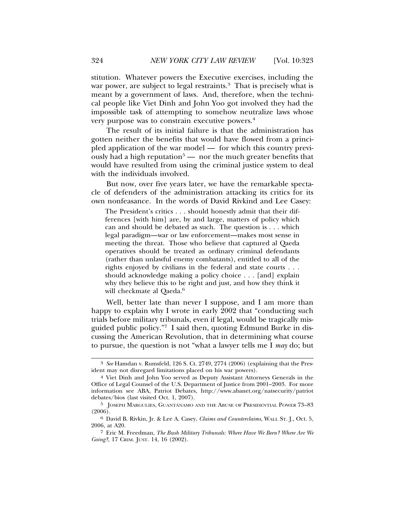stitution. Whatever powers the Executive exercises, including the war power, are subject to legal restraints.<sup>3</sup> That is precisely what is meant by a government of laws. And, therefore, when the technical people like Viet Dinh and John Yoo got involved they had the impossible task of attempting to somehow neutralize laws whose very purpose was to constrain executive powers.4

The result of its initial failure is that the administration has gotten neither the benefits that would have flowed from a principled application of the war model — for which this country previously had a high reputation<sup>5</sup> — nor the much greater benefits that would have resulted from using the criminal justice system to deal with the individuals involved.

But now, over five years later, we have the remarkable spectacle of defenders of the administration attacking its critics for its own nonfeasance. In the words of David Rivkind and Lee Casey:

The President's critics . . . should honestly admit that their differences [with him] are, by and large, matters of policy which can and should be debated as such. The question is . . . which legal paradigm—war or law enforcement—makes most sense in meeting the threat. Those who believe that captured al Qaeda operatives should be treated as ordinary criminal defendants (rather than unlawful enemy combatants), entitled to all of the rights enjoyed by civilians in the federal and state courts . . . should acknowledge making a policy choice . . . [and] explain why they believe this to be right and just, and how they think it will checkmate al Qaeda.<sup>6</sup>

Well, better late than never I suppose, and I am more than happy to explain why I wrote in early 2002 that "conducting such trials before military tribunals, even if legal, would be tragically misguided public policy."7 I said then, quoting Edmund Burke in discussing the American Revolution, that in determining what course to pursue, the question is not "what a lawyer tells me I *may* do; but

<sup>3</sup> *See* Hamdan v. Rumsfeld, 126 S. Ct. 2749, 2774 (2006) (explaining that the President may not disregard limitations placed on his war powers).

<sup>4</sup> Viet Dinh and John Yoo served as Deputy Assistant Attorneys Generals in the Office of Legal Counsel of the U.S. Department of Justice from 2001–2003. For more information see ABA, Patriot Debates, http://www.abanet.org/natsecurity/patriot debates/bios (last visited Oct. 1, 2007).

<sup>&</sup>lt;sup>5</sup> JOSEPH MARGULIES, GUANTÁNAMO AND THE ABUSE OF PRESIDENTIAL POWER 73-83 (2006).

<sup>6</sup> David B. Rivkin, Jr. & Lee A. Casey, *Claims and Counterclaims*, WALL ST. J., Oct. 5, 2006, at A20.

<sup>7</sup> Eric M. Freedman, *The Bush Military Tribunals: Where Have We Been? Where Are We Going?*, 17 CRIM. JUST. 14, 16 (2002).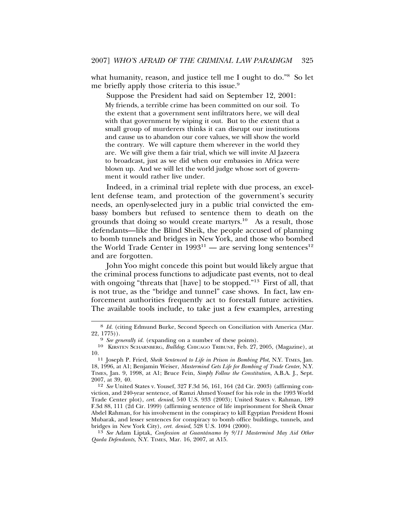what humanity, reason, and justice tell me I ought to do."<sup>8</sup> So let me briefly apply those criteria to this issue.<sup>9</sup>

Suppose the President had said on September 12, 2001:

My friends, a terrible crime has been committed on our soil. To the extent that a government sent infiltrators here, we will deal with that government by wiping it out. But to the extent that a small group of murderers thinks it can disrupt our institutions and cause us to abandon our core values, we will show the world the contrary. We will capture them wherever in the world they are. We will give them a fair trial, which we will invite Al Jazeera to broadcast, just as we did when our embassies in Africa were blown up. And we will let the world judge whose sort of government it would rather live under.

Indeed, in a criminal trial replete with due process, an excellent defense team, and protection of the government's security needs, an openly-selected jury in a public trial convicted the embassy bombers but refused to sentence them to death on the grounds that doing so would create martyrs.<sup>10</sup> As a result, those defendants—like the Blind Sheik, the people accused of planning to bomb tunnels and bridges in New York, and those who bombed the World Trade Center in  $1993^{11}$  — are serving long sentences<sup>12</sup> and are forgotten.

John Yoo might concede this point but would likely argue that the criminal process functions to adjudicate past events, not to deal with ongoing "threats that [have] to be stopped."<sup>13</sup> First of all, that is not true, as the "bridge and tunnel" case shows. In fact, law enforcement authorities frequently act to forestall future activities. The available tools include, to take just a few examples, arresting

13 *See* Adam Liptak, *Confession at Guantanamo by 9/11 Mastermind May Aid Other ´ Qaeda Defendants*, N.Y. TIMES, Mar. 16, 2007, at A15.

<sup>&</sup>lt;sup>8</sup> *Id.* (citing Edmund Burke, Second Speech on Conciliation with America (Mar. 22, 1775)).

<sup>&</sup>lt;sup>9</sup> *See generally id.* (expanding on a number of these points).

<sup>10</sup> KIRSTEN SCHARNBERG, *Bulldog*, CHICAGO TRIBUNE, Feb. 27, 2005, (Magazine), at

<sup>10.11</sup> Joseph P. Fried, *Sheik Sentenced to Life in Prison in Bombing Plot*, N.Y. TIMES, Jan. 18, 1996, at A1; Benjamin Weiser, *Mastermind Gets Life for Bombing of Trade Center*, N.Y. TIMES, Jan. 9, 1998, at A1; Bruce Fein, *Simply Follow the Constitution*, A.B.A. J., Sept. 2007, at 39, 40.

<sup>12</sup> *See* United States v. Yousef, 327 F.3d 56, 161, 164 (2d Cir. 2003) (affirming conviction, and 240-year sentence, of Ramzi Ahmed Yousef for his role in the 1993 World Trade Center plot), *cert. denied*, 540 U.S. 933 (2003); United States v. Rahman, 189 F.3d 88, 111 (2d Cir. 1999) (affirming sentence of life imprisonment for Sheik Omar Abdel Rahman, for his involvement in the conspiracy to kill Egyptian President Hosni Mubarak, and lesser sentences for conspiracy to bomb office buildings, tunnels, and bridges in New York City), *cert. denied*, 528 U.S. 1094 (2000).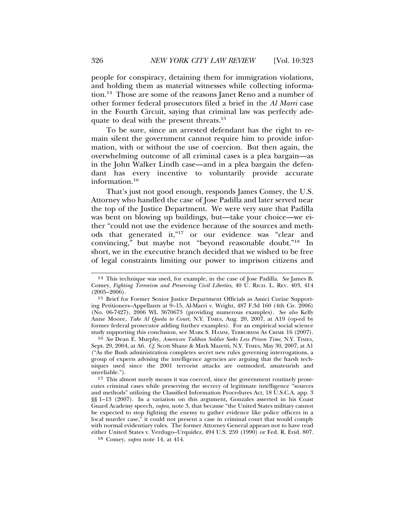people for conspiracy, detaining them for immigration violations, and holding them as material witnesses while collecting information.14 Those are some of the reasons Janet Reno and a number of other former federal prosecutors filed a brief in the *Al Marri* case in the Fourth Circuit, saying that criminal law was perfectly adequate to deal with the present threats.<sup>15</sup>

To be sure, since an arrested defendant has the right to remain silent the government cannot require him to provide information, with or without the use of coercion. But then again, the overwhelming outcome of all criminal cases is a plea bargain—as in the John Walker Lindh case—and in a plea bargain the defendant has every incentive to voluntarily provide accurate information.16

That's just not good enough, responds James Comey, the U.S. Attorney who handled the case of Jose Padilla and later served near the top of the Justice Department. We were very sure that Padilla was bent on blowing up buildings, but—take your choice—we either "could not use the evidence because of the sources and methods that generated it,"17 or our evidence was "clear and convincing," but maybe not "beyond reasonable doubt."18 In short, we in the executive branch decided that we wished to be free of legal constraints limiting our power to imprison citizens and

16 *See* Dean E. Murphy*, American Taliban Soldier Seeks Less Prison Time*, N.Y. TIMES, Sept. 29, 2004, at A6. *Cf.* Scott Shane & Mark Mazetti, N.Y. TIMES, May 30, 2007, at A1 ("As the Bush administration completes secret new rules governing interrogations, a group of experts advising the intelligence agencies are arguing that the harsh techniques used since the 2001 terrorist attacks are outmoded, amateurish and unreliable.").

17 This almost surely means it was coerced, since the government routinely prosecutes criminal cases while preserving the secrecy of legitimate intelligence "sources and methods" utilizing the Classified Information Procedures Act, 18 U.S.C.A. app. 3 §§ 1–13 (2007). In a variation on this argument, Gonzales asserted in his Coast Guard Academy speech, *supra,* note 3, that because "the United States military cannot be expected to stop fighting the enemy to gather evidence like police officers in a local murder case," it could not present a case in criminal court that would comply with normal evidentiary rules. The former Attorney General appears not to have read either United States v. Verdugo–Urquidez, 494 U.S. 259 (1990) or Fed. R. Evid. 807.

18 Comey, *supra* note 14, at 414.

<sup>14</sup> This technique was used, for example, in the case of Jose Padilla. *See* James B. Comey, *Fighting Terrorism and Preserving Civil Liberties*, 40 U. RICH. L. REV. 403, 414  $(2005 - 2006)$ .

<sup>15</sup> Brief for Former Senior Justice Department Officials as Amici Curiae Supporting Petitioners–Appellants at 9–15, Al-Marri v. Wright, 487 F.3d 160 (4th Cir. 2006) (No. 06-7427), 2006 WL 3670673 (providing numerous examples). *See also* Kelly Anne Moore, *Take Al Qaeda to Court*, N.Y. TIMES, Aug. 20, 2007, at A19 (op-ed by former federal prosecutor adding further examples). For an empirical social science study supporting this conclusion, see MARK S. HAMM, TERRORISM AS CRIME 16 (2007).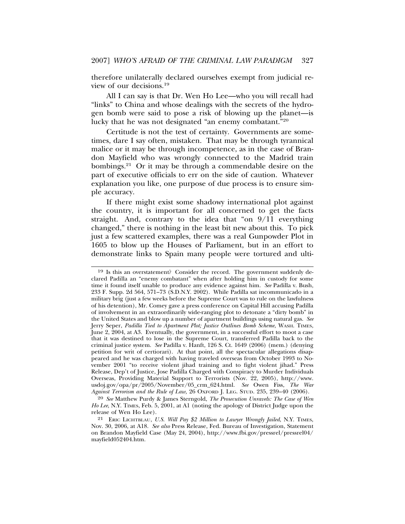therefore unilaterally declared ourselves exempt from judicial review of our decisions.19

All I can say is that Dr. Wen Ho Lee—who you will recall had "links" to China and whose dealings with the secrets of the hydrogen bomb were said to pose a risk of blowing up the planet—is lucky that he was not designated "an enemy combatant."20

Certitude is not the test of certainty. Governments are sometimes, dare I say often, mistaken. That may be through tyrannical malice or it may be through incompetence, as in the case of Brandon Mayfield who was wrongly connected to the Madrid train bombings.21 Or it may be through a commendable desire on the part of executive officials to err on the side of caution. Whatever explanation you like, one purpose of due process is to ensure simple accuracy.

If there might exist some shadowy international plot against the country, it is important for all concerned to get the facts straight. And, contrary to the idea that "on 9/11 everything changed," there is nothing in the least bit new about this. To pick just a few scattered examples, there was a real Gunpowder Plot in 1605 to blow up the Houses of Parliament, but in an effort to demonstrate links to Spain many people were tortured and ulti-

<sup>19</sup> Is this an overstatement? Consider the record. The government suddenly declared Padilla an "enemy combatant" when after holding him in custody for some time it found itself unable to produce any evidence against him. *See* Padilla v. Bush, 233 F. Supp. 2d 564, 571–73 (S.D.N.Y. 2002). While Padilla sat incommunicado in a military brig (just a few weeks before the Supreme Court was to rule on the lawfulness of his detention), Mr. Comey gave a press conference on Capital Hill accusing Padilla of involvement in an extraordinarily wide-ranging plot to detonate a "dirty bomb" in the United States and blow up a number of apartment buildings using natural gas. *See* Jerry Seper, *Padilla Tied to Apartment Plot; Justice Outlines Bomb Scheme*, WASH. TIMES, June 2, 2004, at A3. Eventually, the government, in a successful effort to moot a case that it was destined to lose in the Supreme Court, transferred Padilla back to the criminal justice system. *See* Padilla v. Hanft, 126 S. Ct. 1649 (2006) (mem.) (denying petition for writ of certiorari). At that point, all the spectacular allegations disappeared and he was charged with having traveled overseas from October 1993 to November 2001 "to receive violent jihad training and to fight violent jihad." Press Release, Dep't of Justice, Jose Padilla Charged with Conspiracy to Murder Individuals Overseas, Providing Material Support to Terrorists (Nov. 22, 2005), http://www. usdoj.gov/opa/pr/2005/November/05\_crm\_624.html. *See* Owen Fiss, *The War Against Terrorism and the Rule of Law,* 26 OXFORD J. LEG. STUD. 235, 239–40 (2006).

<sup>20</sup> *See* Matthew Purdy & James Sterngold, *The Prosecution Unravels: The Case of Wen Ho Lee*, N.Y. TIMES, Feb. 5, 2001, at A1 (noting the apology of District Judge upon the release of Wen Ho Lee).

<sup>21</sup> ERIC LICHTBLAU, *U.S. Will Pay \$2 Million to Lawyer Wrongly Jailed*, N.Y. TIMES, Nov. 30, 2006, at A18. *See also* Press Release, Fed. Bureau of Investigation, Statement on Brandon Mayfield Case (May 24, 2004), http://www.fbi.gov/pressrel/pressrel04/ mayfield052404.htm.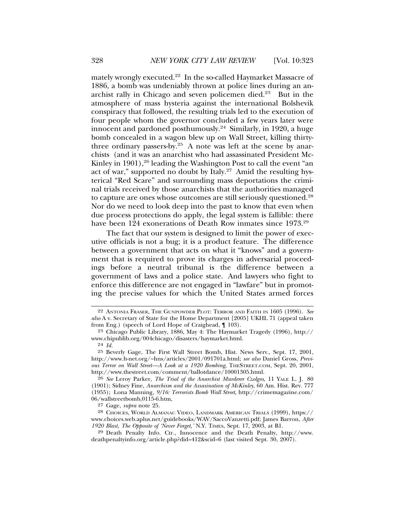mately wrongly executed.22 In the so-called Haymarket Massacre of 1886, a bomb was undeniably thrown at police lines during an anarchist rally in Chicago and seven policemen died.<sup>23</sup> But in the atmosphere of mass hysteria against the international Bolshevik conspiracy that followed, the resulting trials led to the execution of four people whom the governor concluded a few years later were innocent and pardoned posthumously.24 Similarly, in 1920, a huge bomb concealed in a wagon blew up on Wall Street, killing thirtythree ordinary passers-by.<sup>25</sup> A note was left at the scene by anarchists (and it was an anarchist who had assassinated President Mc-Kinley in 1901),<sup>26</sup> leading the Washington Post to call the event "an act of war," supported no doubt by Italy. $27$  Amid the resulting hysterical "Red Scare" and surrounding mass deportations the criminal trials received by those anarchists that the authorities managed to capture are ones whose outcomes are still seriously questioned.28 Nor do we need to look deep into the past to know that even when due process protections do apply, the legal system is fallible: there have been 124 exonerations of Death Row inmates since 1973.<sup>29</sup>

The fact that our system is designed to limit the power of executive officials is not a bug; it is a product feature. The difference between a government that acts on what it "knows" and a government that is required to prove its charges in adversarial proceedings before a neutral tribunal is the difference between a government of laws and a police state. And lawyers who fight to enforce this difference are not engaged in "lawfare" but in promoting the precise values for which the United States armed forces

27 Gage, *supra* note 25.

28 CHOICES, WORLD ALMANAC VIDEO, LANDMARK AMERICAN TRIALS (1999), https:// www.choices.web.aplus.net/guidebooks/WAV/SaccoVanzetti.pdf; James Barron, *After 1920 Blast, The Opposite of 'Never Forget,'* N.Y. TIMES, Sept. 17, 2003, at B1.

29 Death Penalty Info. Ctr., Innocence and the Death Penalty, http://www. deathpenaltyinfo.org/article.php?did=412&scid=6 (last visited Sept. 30, 2007).

<sup>22</sup> ANTONIA FRASER, THE GUNPOWDER PLOT: TERROR AND FAITH IN 1605 (1996). *See also* A v. Secretary of State for the Home Department [2005] UKHL 71 (appeal taken from Eng.) (speech of Lord Hope of Craighead, ¶ 103).

<sup>23</sup> Chicago Public Library, 1886, May 4: The Haymarket Tragedy (1996), http:// www.chipublib.org/004chicago/disasters/haymarket.html.

<sup>24</sup> *Id.*

<sup>25</sup> Beverly Gage, The First Wall Street Bomb, Hist. News Serv., Sept. 17, 2001, http://www.h-net.org/~hns/articles/2001/091701a.html; *see also* Daniel Gross, *Previous Terror on Wall Street—A Look at a 1920 Bombing*, THESTREET.COM, Sept. 20, 2001, http://www.thestreet.com/comment/ballotdance/10001305.html.

<sup>26</sup> *See* Leroy Parker, *The Trial of the Anarchist Murderer Czolgos,* 11 YALE L. J. 80 (1901); Sidney Fine, *Anarchism and the Assasination of McKinley*, 60 Am. Hist. Rev. 777 (1955); Lona Manning, *9/16: Terrorists Bomb Wall Street,* http://crimemagazine.com/ 06/wallstreetbomb,0115-6.htm,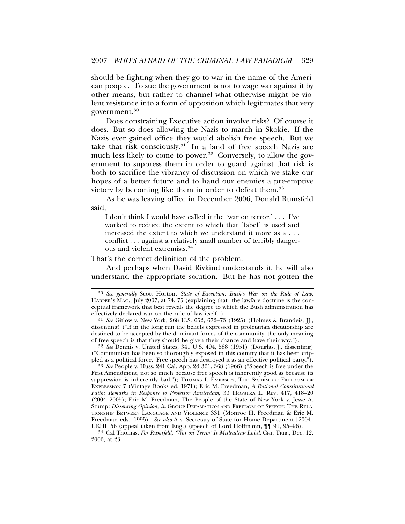should be fighting when they go to war in the name of the American people. To sue the government is not to wage war against it by other means, but rather to channel what otherwise might be violent resistance into a form of opposition which legitimates that very government.30

Does constraining Executive action involve risks? Of course it does. But so does allowing the Nazis to march in Skokie. If the Nazis ever gained office they would abolish free speech. But we take that risk consciously.<sup>31</sup> In a land of free speech Nazis are much less likely to come to power.<sup>32</sup> Conversely, to allow the government to suppress them in order to guard against that risk is both to sacrifice the vibrancy of discussion on which we stake our hopes of a better future and to hand our enemies a pre-emptive victory by becoming like them in order to defeat them.33

As he was leaving office in December 2006, Donald Rumsfeld said,

I don't think I would have called it the 'war on terror.' . . . I've worked to reduce the extent to which that [label] is used and increased the extent to which we understand it more as a . . . conflict . . . against a relatively small number of terribly dangerous and violent extremists.<sup>34</sup>

That's the correct definition of the problem.

And perhaps when David Rivkind understands it, he will also understand the appropriate solution. But he has not gotten the

32 *See* Dennis v. United States, 341 U.S. 494, 588 (1951) (Douglas, J., dissenting) ("Communism has been so thoroughly exposed in this country that it has been crip-<br>pled as a political force. Free speech has destroyed it as an effective political party.").

<sup>33</sup> See People v. Huss, 241 Cal. App. 2d 361, 368 (1966) ("Speech is free under the First Amendment, not so much because free speech is inherently good as because its suppression is inherently bad."); THOMAS I. EMERSON, THE SYSTEM OF FREEDOM OF EXPRESSION 7 (Vintage Books ed. 1971); Eric M. Freedman, *A Rational Constitutional Faith: Remarks in Response to Professor Amsterdam*, 33 HOFSTRA L. REV. 417, 418–20 (2004–2005); Eric M. Freedman, The People of the State of New York v. Jesse A. Stump*: Dissenting Opinion, in* GROUP DEFAMATION AND FREEDOM OF SPEECH: THE RELA-TIONSHIP BETWEEN LANGUAGE AND VIOLENCE 331 (Monroe H. Freedman & Eric M. Freedman eds., 1995). *See also* A v. Secretary of State for Home Department [2004]

UKHL 56 (appeal taken from Eng.) (speech of Lord Hoffmann, ¶¶ 91, 95–96). <sup>34</sup> Cal Thomas, *For Rumsfeld, 'War on Terror' Is Misleading Label*, CHI. TRIB., Dec. 12, 2006, at 23.

<sup>30</sup> *See generally* Scott Horton, *State of Exception: Bush's War on the Rule of Law*, HARPER'S MAG., July 2007, at 74, 75 (explaining that "the lawfare doctrine is the conceptual framework that best reveals the degree to which the Bush administration has effectively declared war on the rule of law itself.").

<sup>31</sup> *See* Gitlow v. New York, 268 U.S. 652, 672–73 (1925) (Holmes & Brandeis, JJ., dissenting) ("If in the long run the beliefs expressed in proletarian dictatorship are destined to be accepted by the dominant forces of the community, the only meaning of free speech is that they should be given their chance and have their way.").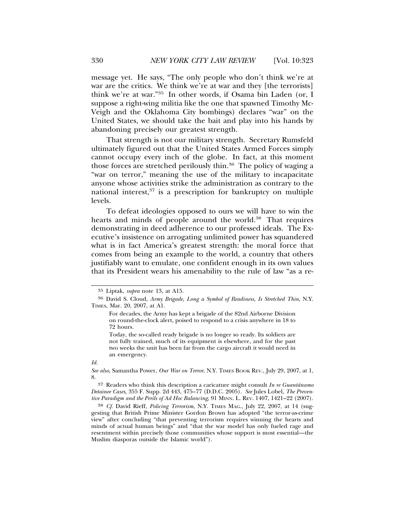message yet. He says, "The only people who don't think we're at war are the critics. We think we're at war and they [the terrorists] think we're at war."35 In other words, if Osama bin Laden (or, I suppose a right-wing militia like the one that spawned Timothy Mc-Veigh and the Oklahoma City bombings) declares "war" on the United States, we should take the bait and play into his hands by abandoning precisely our greatest strength.

That strength is not our military strength. Secretary Rumsfeld ultimately figured out that the United States Armed Forces simply cannot occupy every inch of the globe. In fact, at this moment those forces are stretched perilously thin.36 The policy of waging a "war on terror," meaning the use of the military to incapacitate anyone whose activities strike the administration as contrary to the national interest,37 is a prescription for bankruptcy on multiple levels.

To defeat ideologies opposed to ours we will have to win the hearts and minds of people around the world.<sup>38</sup> That requires demonstrating in deed adherence to our professed ideals. The Executive's insistence on arrogating unlimited power has squandered what is in fact America's greatest strength: the moral force that comes from being an example to the world, a country that others justifiably want to emulate, one confident enough in its own values that its President wears his amenability to the rule of law "as a re-

#### *Id.*

38 *Cf.* David Rieff, *Policing Terrorism*, N.Y. TIMES MAG., July 22, 2007, at 14 (suggesting that British Prime Minister Gordon Brown has adopted "the terror-as-crime view" after concluding "that preventing terrorism requires winning the hearts and minds of actual human beings" and "that the war model has only fueled rage and resentment within precisely those communities whose support is most essential—the Muslim diasporas outside the Islamic world").

<sup>35</sup> Liptak, *supra* note 13, at A15.

<sup>36</sup> David S. Cloud, *Army Brigade, Long a Symbol of Readiness, Is Stretched Thin*, N.Y. TIMES, Mar. 20, 2007, at A1.

For decades, the Army has kept a brigade of the 82nd Airborne Division on round-the-clock alert, poised to respond to a crisis anywhere in 18 to 72 hours.

Today, the so-called ready brigade is no longer so ready. Its soldiers are not fully trained, much of its equipment is elsewhere, and for the past two weeks the unit has been far from the cargo aircraft it would need in an emergency.

*See also,* Samantha Power, *Our War on Terror*, N.Y. TIMES BOOK REV., July 29, 2007, at 1, 8.

<sup>37</sup> Readers who think this description a caricature might consult *In re Guantanamo ´ Detainee Cases*, 355 F. Supp. 2d 443, 475–77 (D.D.C. 2005). *See* Jules Lobel, *The Preventive Paradigm and the Perils of Ad Hoc Balancing*, 91 MINN. L. REV. 1407, 1421–22 (2007).